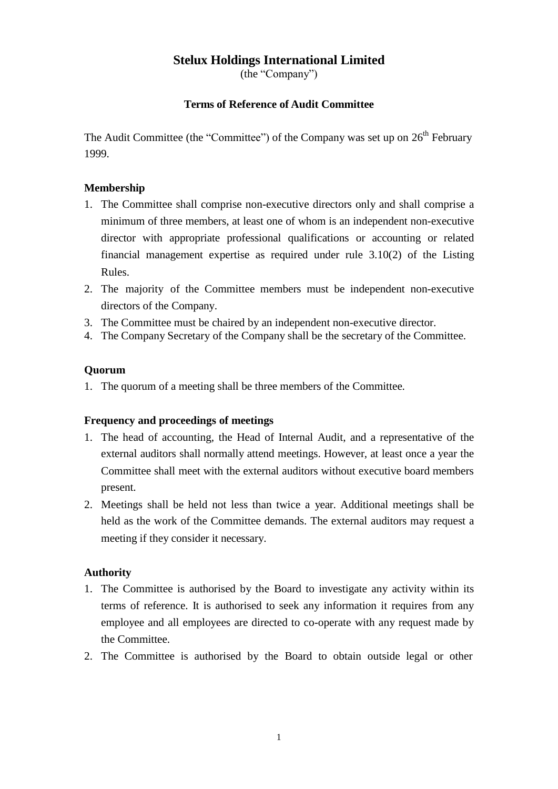# **Stelux Holdings International Limited**

(the "Company")

## **Terms of Reference of Audit Committee**

The Audit Committee (the "Committee") of the Company was set up on  $26<sup>th</sup>$  February 1999.

## **Membership**

- 1. The Committee shall comprise non-executive directors only and shall comprise a minimum of three members, at least one of whom is an independent non-executive director with appropriate professional qualifications or accounting or related financial management expertise as required under rule 3.10(2) of the Listing Rules.
- 2. The majority of the Committee members must be independent non-executive directors of the Company.
- 3. The Committee must be chaired by an independent non-executive director.
- 4. The Company Secretary of the Company shall be the secretary of the Committee.

### **Quorum**

1. The quorum of a meeting shall be three members of the Committee.

#### **Frequency and proceedings of meetings**

- 1. The head of accounting, the Head of Internal Audit, and a representative of the external auditors shall normally attend meetings. However, at least once a year the Committee shall meet with the external auditors without executive board members present.
- 2. Meetings shall be held not less than twice a year. Additional meetings shall be held as the work of the Committee demands. The external auditors may request a meeting if they consider it necessary.

## **Authority**

- 1. The Committee is authorised by the Board to investigate any activity within its terms of reference. It is authorised to seek any information it requires from any employee and all employees are directed to co-operate with any request made by the Committee.
- 2. The Committee is authorised by the Board to obtain outside legal or other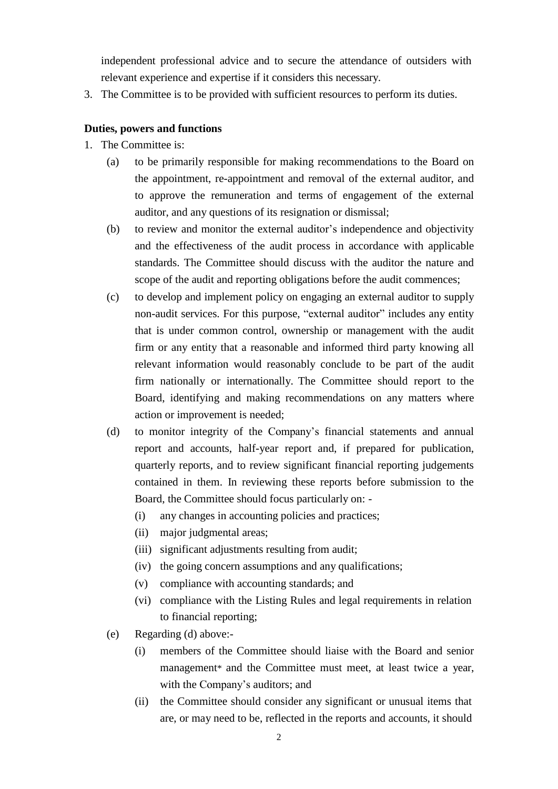independent professional advice and to secure the attendance of outsiders with relevant experience and expertise if it considers this necessary.

3. The Committee is to be provided with sufficient resources to perform its duties.

### **Duties, powers and functions**

- 1. The Committee is:
	- (a) to be primarily responsible for making recommendations to the Board on the appointment, re-appointment and removal of the external auditor, and to approve the remuneration and terms of engagement of the external auditor, and any questions of its resignation or dismissal;
	- (b) to review and monitor the external auditor's independence and objectivity and the effectiveness of the audit process in accordance with applicable standards. The Committee should discuss with the auditor the nature and scope of the audit and reporting obligations before the audit commences;
	- (c) to develop and implement policy on engaging an external auditor to supply non-audit services. For this purpose, "external auditor" includes any entity that is under common control, ownership or management with the audit firm or any entity that a reasonable and informed third party knowing all relevant information would reasonably conclude to be part of the audit firm nationally or internationally. The Committee should report to the Board, identifying and making recommendations on any matters where action or improvement is needed;
	- (d) to monitor integrity of the Company's financial statements and annual report and accounts, half-year report and, if prepared for publication, quarterly reports, and to review significant financial reporting judgements contained in them. In reviewing these reports before submission to the Board, the Committee should focus particularly on: -
		- (i) any changes in accounting policies and practices;
		- (ii) major judgmental areas;
		- (iii) significant adjustments resulting from audit;
		- (iv) the going concern assumptions and any qualifications;
		- (v) compliance with accounting standards; and
		- (vi) compliance with the Listing Rules and legal requirements in relation to financial reporting;
	- (e) Regarding (d) above:-
		- (i) members of the Committee should liaise with the Board and senior management\* and the Committee must meet, at least twice a year, with the Company's auditors; and
		- (ii) the Committee should consider any significant or unusual items that are, or may need to be, reflected in the reports and accounts, it should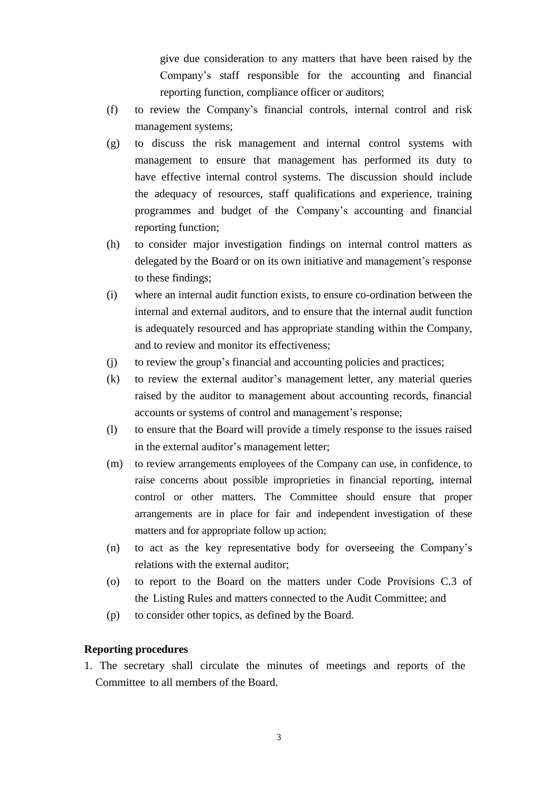give due consideration to any matters that have been raised by the Company's staff responsible for the accounting and financial reporting function, compliance officer or auditors;

- (f) to review the Company's financial controls, internal control and risk management systems;
- (g) to discuss the risk management and internal control systems with management to ensure that management has performed its duty to have effective internal control systems. The discussion should include the adequacy of resources, staff qualifications and experience, training programmes and budget of the Company's accounting and financial reporting function;
- (h) to consider major investigation findings on internal control matters as delegated by the Board or on its own initiative and management's response to these findings;
- (i) where an internal audit function exists, to ensure co-ordination between the internal and external auditors, and to ensure that the internal audit function is adequately resourced and has appropriate standing within the Company, and to review and monitor its effectiveness;
- (j) to review the group's financial and accounting policies and practices;
- (k) to review the external auditor's management letter, any material queries raised by the auditor to management about accounting records, financial accounts or systems of control and management's response;
- (l) to ensure that the Board will provide a timely response to the issues raised in the external auditor's management letter;
- (m) to review arrangements employees of the Company can use, in confidence, to raise concerns about possible improprieties in financial reporting, internal control or other matters. The Committee should ensure that proper arrangements are in place for fair and independent investigation of these matters and for appropriate follow up action;
- (n) to act as the key representative body for overseeing the Company's relations with the external auditor;
- (o) to report to the Board on the matters under Code Provisions C.3 of the Listing Rules and matters connected to the Audit Committee; and
- (p) to consider other topics, as defined by the Board.

#### **Reporting procedures**

1. The secretary shall circulate the minutes of meetings and reports of the Committee to all members of the Board.